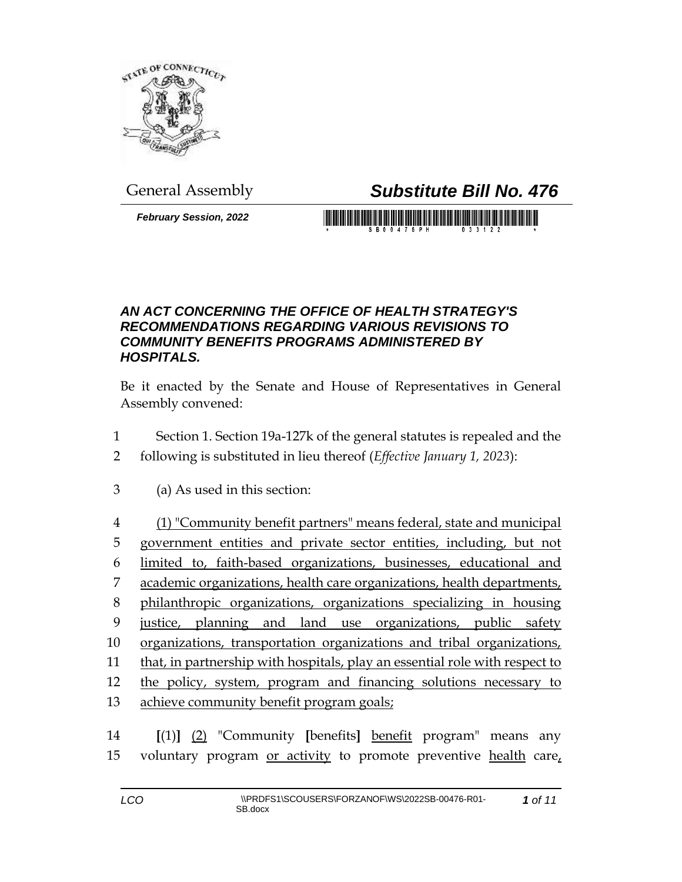

## General Assembly *Substitute Bill No. 476*

*February Session, 2022*

<u> 1989 - An Dùbhlachd ann an Dùbhaidh ann an Dùbhaidh ann an Dùbhlachd ann an Dùbhlachd ann an Dùbhlachd ann an </u>

## *AN ACT CONCERNING THE OFFICE OF HEALTH STRATEGY'S RECOMMENDATIONS REGARDING VARIOUS REVISIONS TO COMMUNITY BENEFITS PROGRAMS ADMINISTERED BY HOSPITALS.*

Be it enacted by the Senate and House of Representatives in General Assembly convened:

- 1 Section 1. Section 19a-127k of the general statutes is repealed and the
- 2 following is substituted in lieu thereof (*Effective January 1, 2023*):
- 3 (a) As used in this section:
- 4 (1) "Community benefit partners" means federal, state and municipal 5 government entities and private sector entities, including, but not 6 limited to, faith-based organizations, businesses, educational and 7 academic organizations, health care organizations, health departments, 8 philanthropic organizations, organizations specializing in housing 9 justice, planning and land use organizations, public safety 10 organizations, transportation organizations and tribal organizations, 11 that, in partnership with hospitals, play an essential role with respect to 12 the policy, system, program and financing solutions necessary to 13 achieve community benefit program goals;
- 14 **[**(1)**]** (2) "Community **[**benefits**]** benefit program" means any 15 voluntary program or activity to promote preventive health care,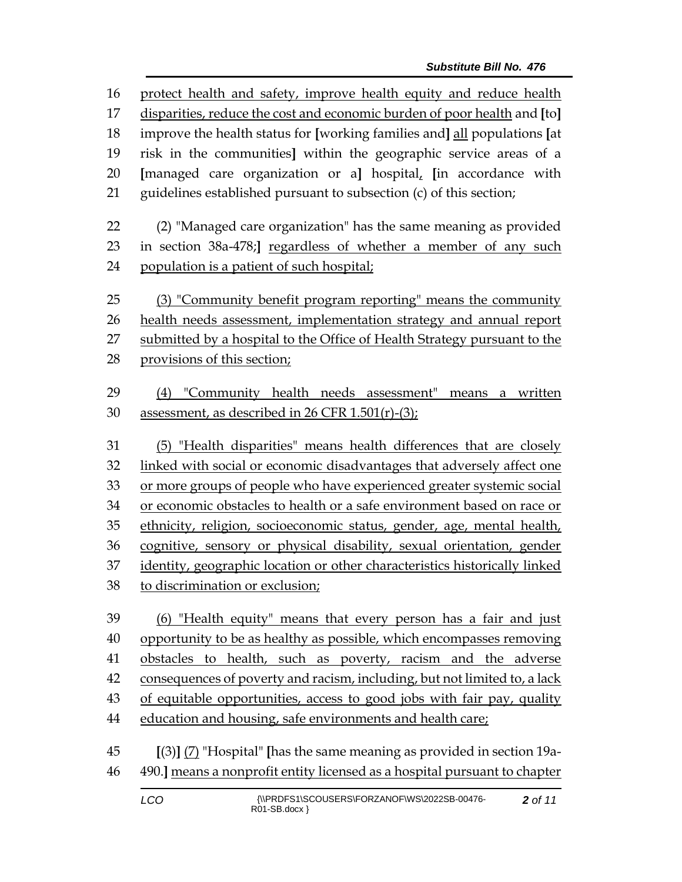protect health and safety, improve health equity and reduce health disparities, reduce the cost and economic burden of poor health and **[**to**]** improve the health status for **[**working families and**]** all populations **[**at risk in the communities**]** within the geographic service areas of a **[**managed care organization or a**]** hospital, **[**in accordance with guidelines established pursuant to subsection (c) of this section; (2) "Managed care organization" has the same meaning as provided in section 38a-478;**]** regardless of whether a member of any such population is a patient of such hospital; (3) "Community benefit program reporting" means the community 26 health needs assessment, implementation strategy and annual report submitted by a hospital to the Office of Health Strategy pursuant to the provisions of this section; (4) "Community health needs assessment" means a written assessment, as described in 26 CFR 1.501(r)-(3); (5) "Health disparities" means health differences that are closely linked with social or economic disadvantages that adversely affect one or more groups of people who have experienced greater systemic social or economic obstacles to health or a safe environment based on race or ethnicity, religion, socioeconomic status, gender, age, mental health, cognitive, sensory or physical disability, sexual orientation, gender identity, geographic location or other characteristics historically linked to discrimination or exclusion; (6) "Health equity" means that every person has a fair and just opportunity to be as healthy as possible, which encompasses removing obstacles to health, such as poverty, racism and the adverse consequences of poverty and racism, including, but not limited to, a lack of equitable opportunities, access to good jobs with fair pay, quality education and housing, safe environments and health care;

 **[**(3)**]** (7) "Hospital" **[**has the same meaning as provided in section 19a-490.**]** means a nonprofit entity licensed as a hospital pursuant to chapter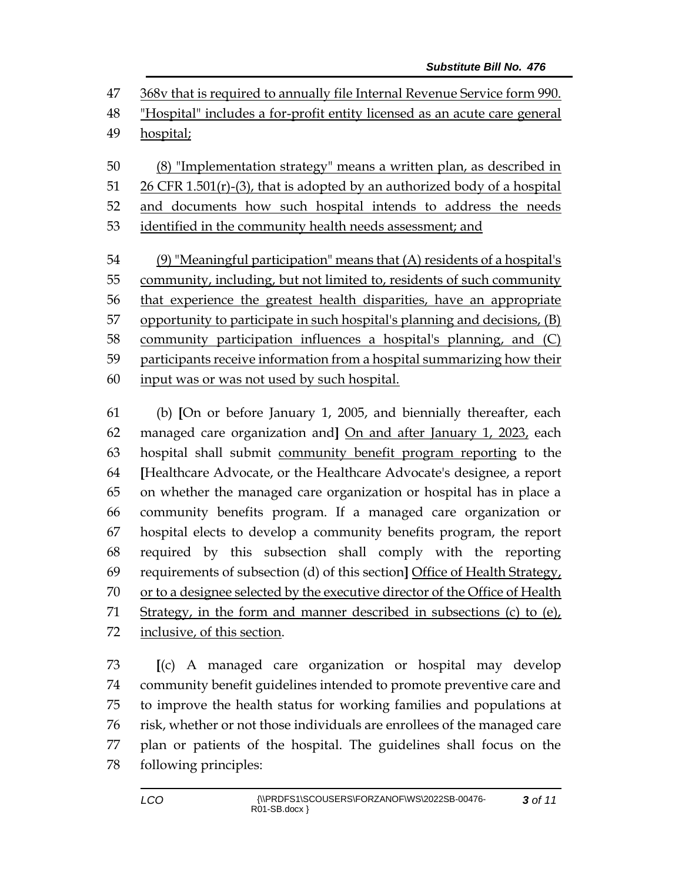368v that is required to annually file Internal Revenue Service form 990.

 "Hospital" includes a for-profit entity licensed as an acute care general hospital;

 (8) "Implementation strategy" means a written plan, as described in CFR 1.501(r)-(3), that is adopted by an authorized body of a hospital 52 and documents how such hospital intends to address the needs identified in the community health needs assessment; and

 (9) "Meaningful participation" means that (A) residents of a hospital's 55 community, including, but not limited to, residents of such community that experience the greatest health disparities, have an appropriate opportunity to participate in such hospital's planning and decisions, (B) community participation influences a hospital's planning, and (C) participants receive information from a hospital summarizing how their input was or was not used by such hospital.

 (b) **[**On or before January 1, 2005, and biennially thereafter, each managed care organization and**]** On and after January 1, 2023, each hospital shall submit community benefit program reporting to the **[**Healthcare Advocate, or the Healthcare Advocate's designee, a report on whether the managed care organization or hospital has in place a community benefits program. If a managed care organization or hospital elects to develop a community benefits program, the report required by this subsection shall comply with the reporting requirements of subsection (d) of this section**]** Office of Health Strategy, or to a designee selected by the executive director of the Office of Health Strategy, in the form and manner described in subsections (c) to (e), inclusive, of this section.

 **[**(c) A managed care organization or hospital may develop community benefit guidelines intended to promote preventive care and to improve the health status for working families and populations at risk, whether or not those individuals are enrollees of the managed care plan or patients of the hospital. The guidelines shall focus on the following principles: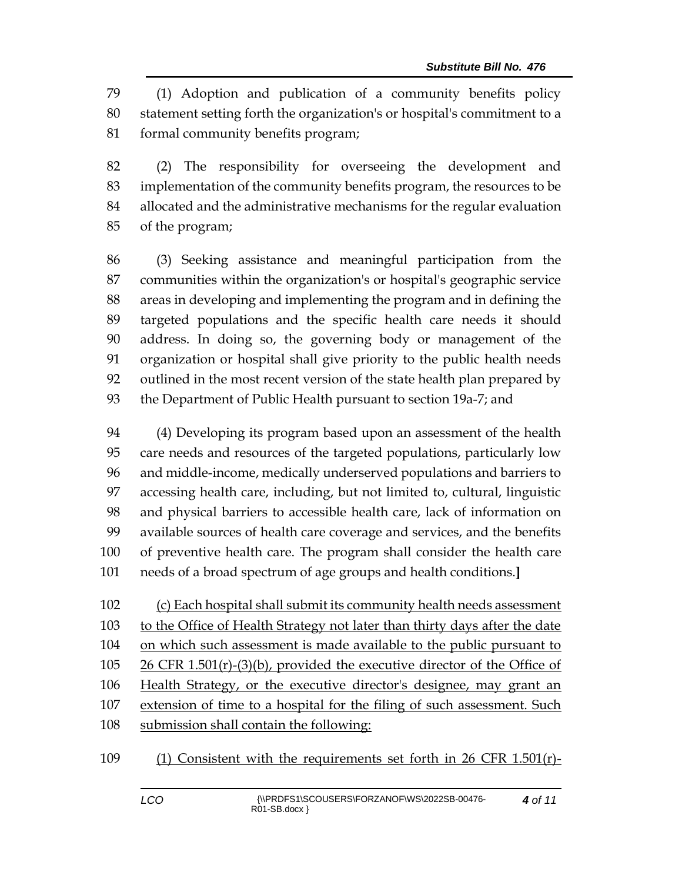(1) Adoption and publication of a community benefits policy statement setting forth the organization's or hospital's commitment to a formal community benefits program;

 (2) The responsibility for overseeing the development and implementation of the community benefits program, the resources to be allocated and the administrative mechanisms for the regular evaluation of the program;

 (3) Seeking assistance and meaningful participation from the communities within the organization's or hospital's geographic service areas in developing and implementing the program and in defining the targeted populations and the specific health care needs it should address. In doing so, the governing body or management of the organization or hospital shall give priority to the public health needs outlined in the most recent version of the state health plan prepared by the Department of Public Health pursuant to section 19a-7; and

 (4) Developing its program based upon an assessment of the health care needs and resources of the targeted populations, particularly low and middle-income, medically underserved populations and barriers to accessing health care, including, but not limited to, cultural, linguistic and physical barriers to accessible health care, lack of information on available sources of health care coverage and services, and the benefits of preventive health care. The program shall consider the health care needs of a broad spectrum of age groups and health conditions.**]**

 (c) Each hospital shall submit its community health needs assessment to the Office of Health Strategy not later than thirty days after the date on which such assessment is made available to the public pursuant to 26 CFR 1.501(r)-(3)(b), provided the executive director of the Office of 106 Health Strategy, or the executive director's designee, may grant an extension of time to a hospital for the filing of such assessment. Such submission shall contain the following:

(1) Consistent with the requirements set forth in 26 CFR 1.501(r)-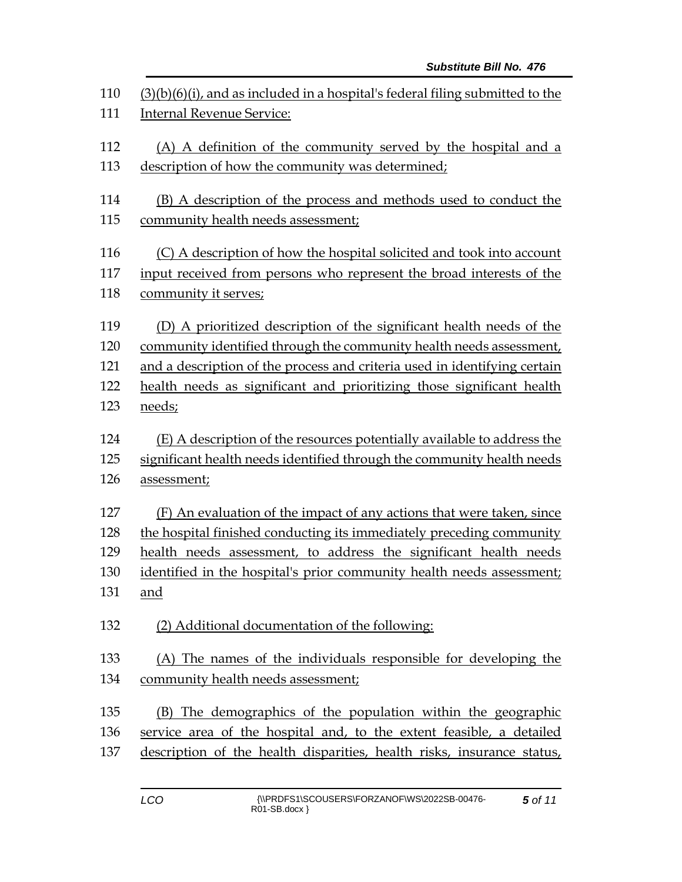| 110 | $(3)(b)(6)(i)$ , and as included in a hospital's federal filing submitted to the |  |  |
|-----|----------------------------------------------------------------------------------|--|--|
| 111 | <b>Internal Revenue Service:</b>                                                 |  |  |
| 112 | (A) A definition of the community served by the hospital and a                   |  |  |
| 113 | description of how the community was determined;                                 |  |  |
| 114 | (B) A description of the process and methods used to conduct the                 |  |  |
| 115 | community health needs assessment;                                               |  |  |
| 116 | (C) A description of how the hospital solicited and took into account            |  |  |
| 117 | input received from persons who represent the broad interests of the             |  |  |
| 118 | community it serves;                                                             |  |  |
| 119 | (D) A prioritized description of the significant health needs of the             |  |  |
| 120 | community identified through the community health needs assessment,              |  |  |
| 121 | and a description of the process and criteria used in identifying certain        |  |  |
| 122 | health needs as significant and prioritizing those significant health            |  |  |
| 123 | needs;                                                                           |  |  |
| 124 | (E) A description of the resources potentially available to address the          |  |  |
| 125 | significant health needs identified through the community health needs           |  |  |
| 126 | assessment;                                                                      |  |  |
| 127 | (F) An evaluation of the impact of any actions that were taken, since            |  |  |
| 128 | the hospital finished conducting its immediately preceding community             |  |  |
| 129 | health needs assessment, to address the significant health needs                 |  |  |
| 130 | identified in the hospital's prior community health needs assessment;            |  |  |
| 131 | and                                                                              |  |  |
| 132 | (2) Additional documentation of the following:                                   |  |  |
| 133 | (A) The names of the individuals responsible for developing the                  |  |  |
| 134 | community health needs assessment;                                               |  |  |
| 135 | (B) The demographics of the population within the geographic                     |  |  |
| 136 | service area of the hospital and, to the extent feasible, a detailed             |  |  |
|     |                                                                                  |  |  |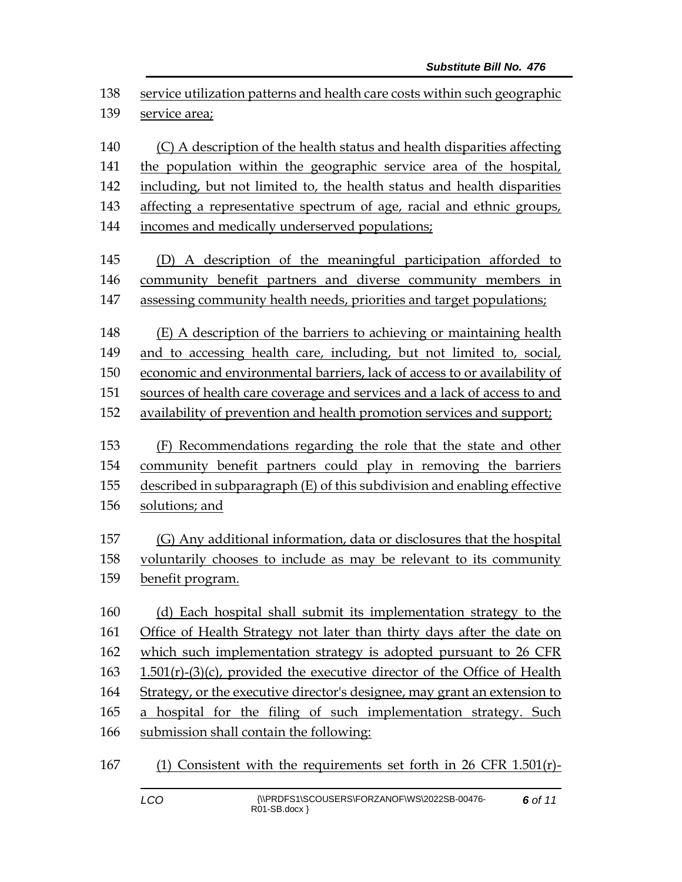| 138<br>139 | service utilization patterns and health care costs within such geographic<br>service area; |  |  |
|------------|--------------------------------------------------------------------------------------------|--|--|
| 140        | (C) A description of the health status and health disparities affecting                    |  |  |
| 141        | the population within the geographic service area of the hospital,                         |  |  |
| 142        | including, but not limited to, the health status and health disparities                    |  |  |
| 143        | affecting a representative spectrum of age, racial and ethnic groups,                      |  |  |
| 144        | incomes and medically underserved populations;                                             |  |  |
| 145        | (D) A description of the meaningful participation afforded to                              |  |  |
| 146        | community benefit partners and diverse community members in                                |  |  |
| 147        | assessing community health needs, priorities and target populations;                       |  |  |
| 148        | (E) A description of the barriers to achieving or maintaining health                       |  |  |
| 149        | and to accessing health care, including, but not limited to, social,                       |  |  |
| 150        | economic and environmental barriers, lack of access to or availability of                  |  |  |
| 151        | sources of health care coverage and services and a lack of access to and                   |  |  |
| 152        | availability of prevention and health promotion services and support;                      |  |  |
| 153        | (F) Recommendations regarding the role that the state and other                            |  |  |
| 154        | community benefit partners could play in removing the barriers                             |  |  |
| 155        | described in subparagraph (E) of this subdivision and enabling effective                   |  |  |
| 156        | solutions; and                                                                             |  |  |
| 157        | (G) Any additional information, data or disclosures that the hospital                      |  |  |
| 158        | voluntarily chooses to include as may be relevant to its community                         |  |  |
| 159        | benefit program.                                                                           |  |  |
| 160        | (d) Each hospital shall submit its implementation strategy to the                          |  |  |
| 161        | Office of Health Strategy not later than thirty days after the date on                     |  |  |
| 162        | which such implementation strategy is adopted pursuant to 26 CFR                           |  |  |
| 163        | 1.501(r)-(3)(c), provided the executive director of the Office of Health                   |  |  |
| 164        | Strategy, or the executive director's designee, may grant an extension to                  |  |  |
| 165        | a hospital for the filing of such implementation strategy. Such                            |  |  |
| 166        | submission shall contain the following:                                                    |  |  |
| 167        | (1) Consistent with the requirements set forth in 26 CFR 1.501(r)-                         |  |  |

*6 of 11*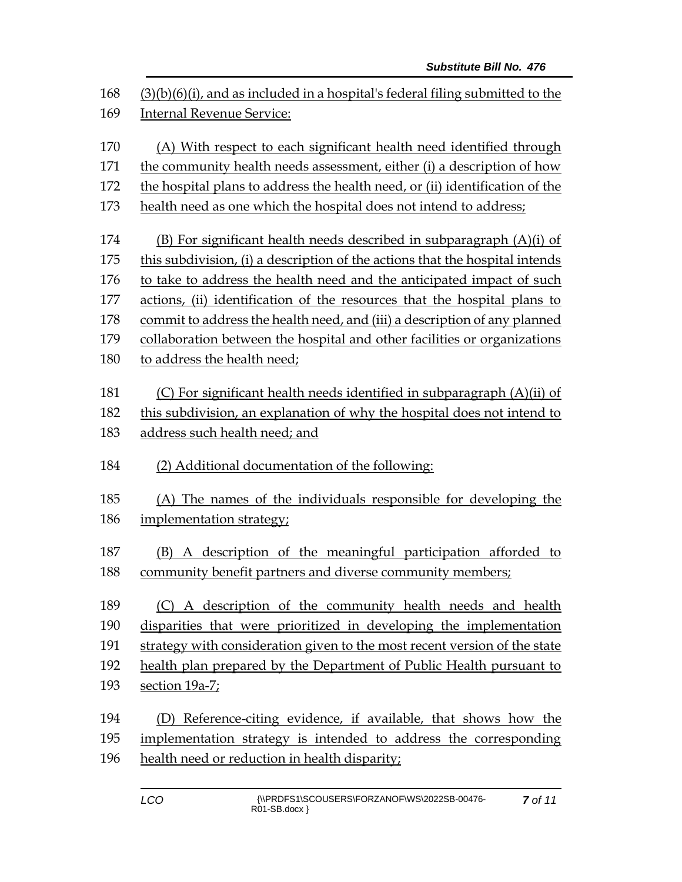| 168 |                                                                                  |  |  |
|-----|----------------------------------------------------------------------------------|--|--|
|     | $(3)(b)(6)(i)$ , and as included in a hospital's federal filing submitted to the |  |  |
| 169 | <b>Internal Revenue Service:</b>                                                 |  |  |
| 170 | (A) With respect to each significant health need identified through              |  |  |
| 171 | the community health needs assessment, either (i) a description of how           |  |  |
| 172 | the hospital plans to address the health need, or (ii) identification of the     |  |  |
| 173 | health need as one which the hospital does not intend to address;                |  |  |
| 174 | (B) For significant health needs described in subparagraph (A)(i) of             |  |  |
| 175 | this subdivision, (i) a description of the actions that the hospital intends     |  |  |
| 176 | to take to address the health need and the anticipated impact of such            |  |  |
| 177 | actions, (ii) identification of the resources that the hospital plans to         |  |  |
| 178 | commit to address the health need, and (iii) a description of any planned        |  |  |
| 179 | collaboration between the hospital and other facilities or organizations         |  |  |
| 180 | to address the health need;                                                      |  |  |
| 181 | (C) For significant health needs identified in subparagraph (A)(ii) of           |  |  |
| 182 | this subdivision, an explanation of why the hospital does not intend to          |  |  |
| 183 | address such health need; and                                                    |  |  |
|     |                                                                                  |  |  |
| 184 | (2) Additional documentation of the following:                                   |  |  |
| 185 | (A) The names of the individuals responsible for developing the                  |  |  |
| 186 | implementation strategy;                                                         |  |  |
|     |                                                                                  |  |  |
| 187 | A description of the meaningful participation afforded to<br>(B)                 |  |  |
| 188 | community benefit partners and diverse community members;                        |  |  |
| 189 | A description of the community health needs and health<br>(C)                    |  |  |
| 190 | disparities that were prioritized in developing the implementation               |  |  |
| 191 | strategy with consideration given to the most recent version of the state        |  |  |
| 192 | health plan prepared by the Department of Public Health pursuant to              |  |  |
| 193 | section 19a-7;                                                                   |  |  |
|     |                                                                                  |  |  |
| 194 | (D) Reference-citing evidence, if available, that shows how the                  |  |  |
| 195 | implementation strategy is intended to address the corresponding                 |  |  |
| 196 | health need or reduction in health disparity;                                    |  |  |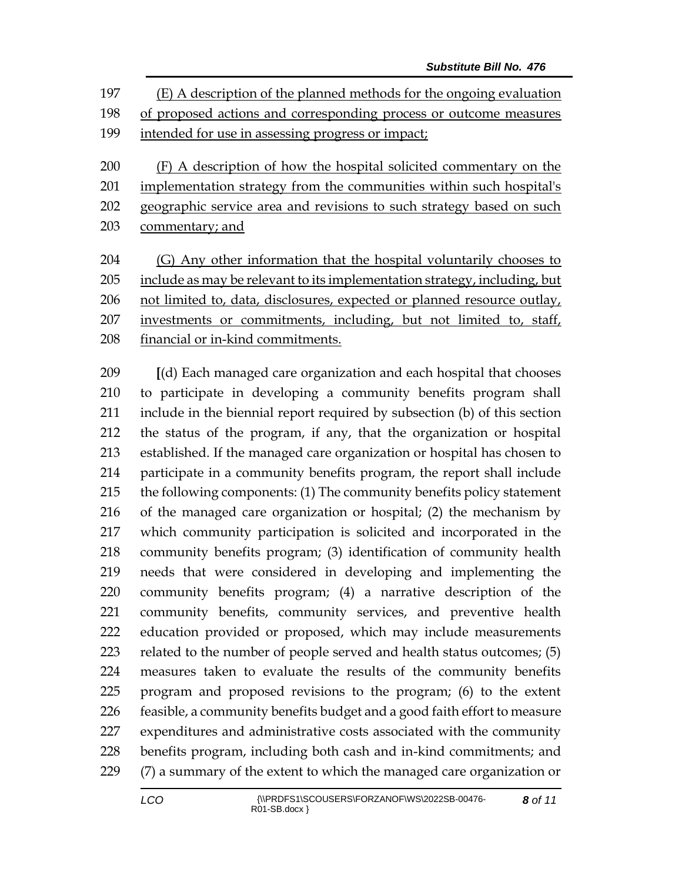(E) A description of the planned methods for the ongoing evaluation of proposed actions and corresponding process or outcome measures intended for use in assessing progress or impact;

 (F) A description of how the hospital solicited commentary on the 201 implementation strategy from the communities within such hospital's 202 geographic service area and revisions to such strategy based on such 203 commentary; and

 (G) Any other information that the hospital voluntarily chooses to include as may be relevant to its implementation strategy, including, but not limited to, data, disclosures, expected or planned resource outlay, 207 investments or commitments, including, but not limited to, staff, financial or in-kind commitments.

 **[**(d) Each managed care organization and each hospital that chooses to participate in developing a community benefits program shall include in the biennial report required by subsection (b) of this section the status of the program, if any, that the organization or hospital established. If the managed care organization or hospital has chosen to participate in a community benefits program, the report shall include the following components: (1) The community benefits policy statement of the managed care organization or hospital; (2) the mechanism by which community participation is solicited and incorporated in the community benefits program; (3) identification of community health needs that were considered in developing and implementing the community benefits program; (4) a narrative description of the community benefits, community services, and preventive health education provided or proposed, which may include measurements related to the number of people served and health status outcomes; (5) measures taken to evaluate the results of the community benefits program and proposed revisions to the program; (6) to the extent feasible, a community benefits budget and a good faith effort to measure expenditures and administrative costs associated with the community benefits program, including both cash and in-kind commitments; and (7) a summary of the extent to which the managed care organization or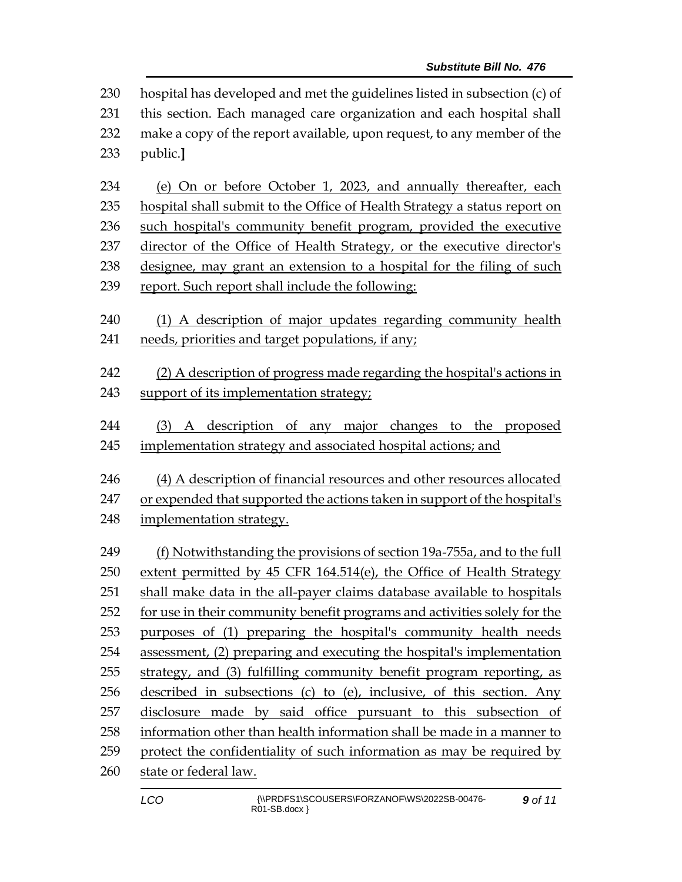hospital has developed and met the guidelines listed in subsection (c) of this section. Each managed care organization and each hospital shall make a copy of the report available, upon request, to any member of the public.**]**

 (e) On or before October 1, 2023, and annually thereafter, each hospital shall submit to the Office of Health Strategy a status report on such hospital's community benefit program, provided the executive director of the Office of Health Strategy, or the executive director's designee, may grant an extension to a hospital for the filing of such report. Such report shall include the following:

- (1) A description of major updates regarding community health needs, priorities and target populations, if any;
- (2) A description of progress made regarding the hospital's actions in support of its implementation strategy;
- (3) A description of any major changes to the proposed implementation strategy and associated hospital actions; and
- (4) A description of financial resources and other resources allocated or expended that supported the actions taken in support of the hospital's implementation strategy.

 (f) Notwithstanding the provisions of section 19a-755a, and to the full extent permitted by 45 CFR 164.514(e), the Office of Health Strategy shall make data in the all-payer claims database available to hospitals for use in their community benefit programs and activities solely for the purposes of (1) preparing the hospital's community health needs assessment, (2) preparing and executing the hospital's implementation strategy, and (3) fulfilling community benefit program reporting, as described in subsections (c) to (e), inclusive, of this section. Any disclosure made by said office pursuant to this subsection of information other than health information shall be made in a manner to protect the confidentiality of such information as may be required by state or federal law.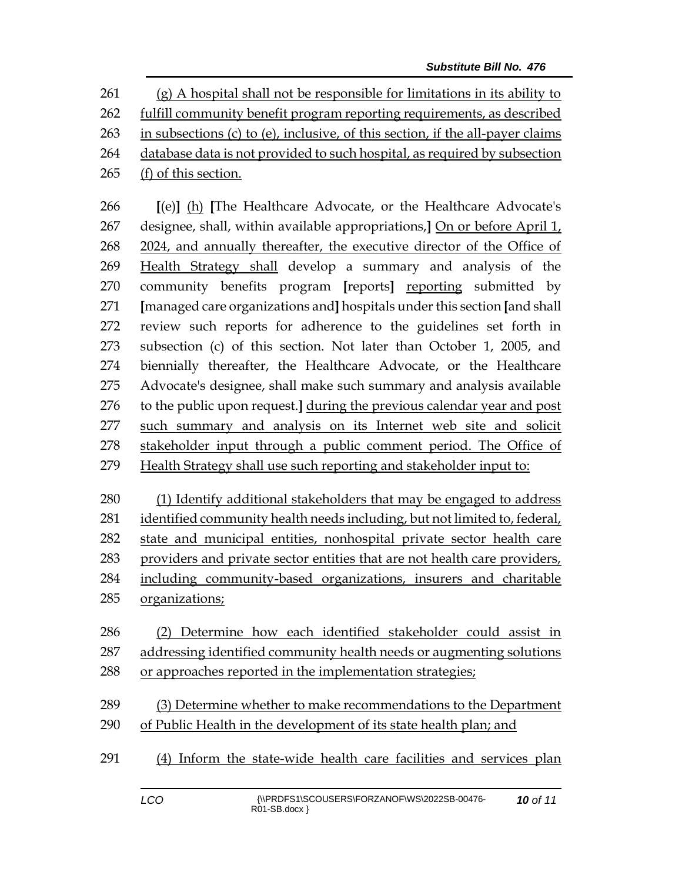(g) A hospital shall not be responsible for limitations in its ability to fulfill community benefit program reporting requirements, as described in subsections (c) to (e), inclusive, of this section, if the all-payer claims database data is not provided to such hospital, as required by subsection

(f) of this section.

 **[**(e)**]** (h) **[**The Healthcare Advocate, or the Healthcare Advocate's designee, shall, within available appropriations,**]** On or before April 1, 2024, and annually thereafter, the executive director of the Office of Health Strategy shall develop a summary and analysis of the community benefits program **[**reports**]** reporting submitted by **[**managed care organizations and**]** hospitals under this section **[**and shall review such reports for adherence to the guidelines set forth in subsection (c) of this section. Not later than October 1, 2005, and biennially thereafter, the Healthcare Advocate, or the Healthcare Advocate's designee, shall make such summary and analysis available to the public upon request.**]** during the previous calendar year and post such summary and analysis on its Internet web site and solicit stakeholder input through a public comment period. The Office of Health Strategy shall use such reporting and stakeholder input to:

 (1) Identify additional stakeholders that may be engaged to address identified community health needs including, but not limited to, federal, state and municipal entities, nonhospital private sector health care providers and private sector entities that are not health care providers, including community-based organizations, insurers and charitable organizations;

- (2) Determine how each identified stakeholder could assist in addressing identified community health needs or augmenting solutions 288 or approaches reported in the implementation strategies;
- (3) Determine whether to make recommendations to the Department of Public Health in the development of its state health plan; and
- (4) Inform the state-wide health care facilities and services plan